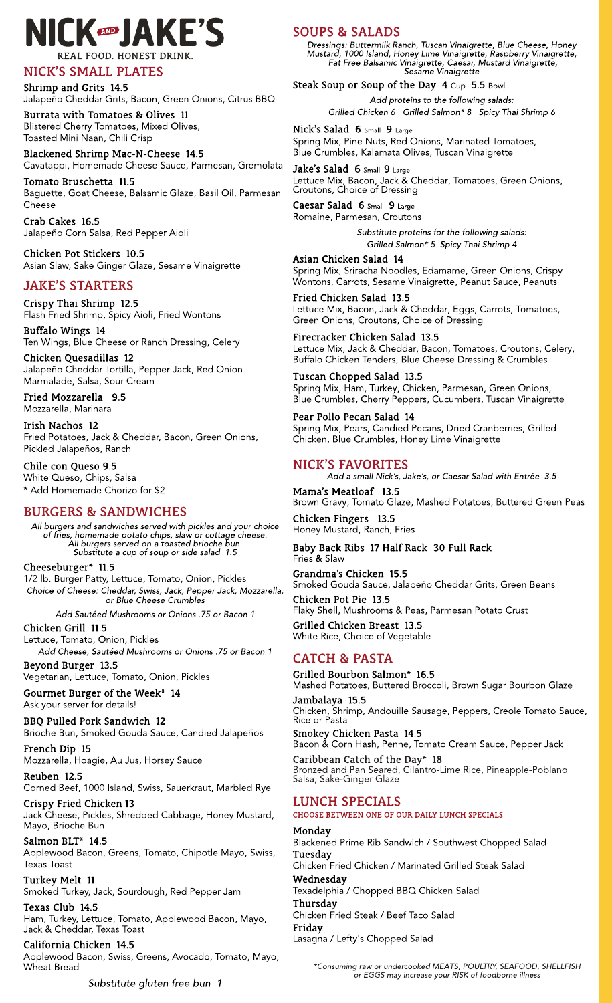# **NICK®JAKE'S** REAL FOOD HONEST DRINK

## NICK?SSMALL PLATES

Shrimp and Grits 14.5 Jalapeño Cheddar Grits, Bacon, Green Onions, Citrus BBQ

Burrata with Tomatoes& Olives 11 Blistered Cherry Tomatoes, Mixed Olives, Toasted Mini Naan, Chili Crisp

Blackened Shrimp Mac-N-Cheese 14.5 Cavatappi, Homemade Cheese Sauce, Parmesan, Gremolata

Tomato Bruschetta 11.5 Baguette, Goat Cheese, Balsamic Glaze, Basil Oil, Parmesan Cheese

Crab Cakes 16.5 Jalapeño Corn Salsa, Red Pepper Aioli

Chicken Pot Stickers 10.5 Asian Slaw, Sake Ginger Glaze, Sesame Vinaigrette

## **JAKE'S STARTERS**

Crispy Thai Shrimp 12.5 Flash Fried Shrimp, Spicy Aioli, Fried Wontons

Buffalo Wings 14 Ten Wings, Blue Cheese or Ranch Dressing, Celery

Chicken Quesadillas 12 Jalapeño Cheddar Tortilla, Pepper Jack, Red Onion Marmalade, Salsa, Sour Cream

Fried Mozzarella 9.5 Mozzarella, Marinara

Irish Nachos 12 Fried Potatoes, Jack & Cheddar, Bacon, Green Onions, Pickled Jalapeños, Ranch

BBQ Pulled Pork Sandwich 12 Brioche Bun, Smoked Gouda Sauce, Candied Jalapeños

Chile con Queso 9.5 White Queso, Chips, Salsa \* Add Homemade Chorizo for \$2

## BURGERS& SANDWICHES

**All burgersand sandwichesserved with picklesand your choice of fries, homemade potato chips, slaw or cottage cheese. All burgersserved on a toasted brioche bun. Substitute a cup of soup or side salad 1.5**

#### Cheeseburger\* 11.5

1/2 lb. Burger Patty, Lettuce, Tomato, Onion, Pickles **Choice of Cheese: Cheddar, Swiss, Jack, Pepper Jack, Mozzarella, or Blue Cheese Crumbles**

**Add Sautéed Mushroomsor Onions.75 or Bacon 1**

Nick's Salad 6 Small 9 Large Spring Mix, Pine Nuts, Red Onions, Marinated Tomatoes, Blue Crumbles, Kalamata Olives, Tuscan Vinaigrette

Chicken Grill 11.5 Lettuce, Tomato, Onion, Pickles **Add Cheese, Sautéed Mushroomsor Onions.75 or Bacon 1** Jake's Salad  $6$  Small  $9$  Large Lettuce Mix, Bacon, Jack & Cheddar, Tomatoes, Green Onions, Croutons, Choice of Dressing

Beyond Burger 13.5 Vegetarian, Lettuce, Tomato, Onion, Pickles

Gourmet Burger of the Week\* 14 Ask your server for details!

French Dip 15 Mozzarella, Hoagie, Au Jus, Horsey Sauce

Reuben 12.5

## **SOUPS & SALADS**

Corned Beef, 1000 Island, Swiss, Sauerkraut, Marbled Rye

#### Crispy Fried Chicken 13

Jack Cheese, Pickles, Shredded Cabbage, Honey Mustard, Mayo, Brioche Bun

#### Salmon BLT\* 14.5

Applewood Bacon, Greens, Tomato, Chipotle Mayo, Swiss, Texas Toast

Turkey Melt 11 Smoked Turkey, Jack, Sourdough, Red Pepper Jam

#### Texas Club 14.5

Ham, Turkey, Lettuce, Tomato, Applewood Bacon, Mayo, Jack & Cheddar, Texas Toast

#### California Chicken 14.5

Applewood Bacon, Swiss, Greens, Avocado, Tomato, Mayo, Wheat Bread

**Substitute gluten free bun 1**

**\*Consuming raw or undercooked MEATS, POULTRY, SEAFOOD, SHELLFISH or EGGS may increase your RISK of foodborne illness**

**Dressings: Buttermilk Ranch, Tuscan Vinaigrette, Blue Cheese, Honey Mustard, 1000 Island, Honey Lime Vinaigrette, Raspberry Vinaigrette, Fat Free Balsamic Vinaigrette, Caesar, Mustard Vinaigrette, Sesame Vinaigrette**

#### Steak Soup or Soup of the Day 4 Cup 5.5 Bowl

**Add proteinsto the following salads: Grilled Chicken 6 Grilled Salmon\* 8 Spicy Thai Shrimp 6**

Caesar Salad 6 Small 9 Large Romaine, Parmesan, Croutons

> **Substitute proteinsfor the following salads: Grilled Salmon\* 5 Spicy Thai Shrimp 4**

Asian Chicken Salad 14 Spring Mix, Sriracha Noodles, Edamame, Green Onions, Crispy Wontons, Carrots, Sesame Vinaigrette, Peanut Sauce, Peanuts

Fried Chicken Salad 13.5 Lettuce Mix, Bacon, Jack & Cheddar, Eggs, Carrots, Tomatoes, Green Onions, Croutons, Choice of Dressing

Firecracker Chicken Salad 13.5 Lettuce Mix, Jack & Cheddar, Bacon, Tomatoes, Croutons, Celery, Buffalo Chicken Tenders, Blue Cheese Dressing & Crumbles

Tuscan Chopped Salad 13.5 Spring Mix, Ham, Turkey, Chicken, Parmesan, Green Onions, Blue Crumbles, Cherry Peppers, Cucumbers, Tuscan Vinaigrette

Pear Pollo Pecan Salad 14 Spring Mix, Pears, Candied Pecans, Dried Cranberries, Grilled Chicken, Blue Crumbles, Honey Lime Vinaigrette

## NICK?SFAVORITES

**Add a small Nick?s, Jake?s, or Caesar Salad with Entrée 3.5**

Mama?s Meatloaf 13.5 Brown Gravy, Tomato Glaze, Mashed Potatoes, Buttered Green Peas

Chicken Fingers 13.5 Honey Mustard, Ranch, Fries

Baby Back Ribs 17 Half Rack 30 Full Rack Fries & Slaw

Grandma?s Chicken 15.5 Smoked Gouda Sauce, Jalapeño Cheddar Grits, Green Beans

Chicken Pot Pie 13.5 Flaky Shell, Mushrooms & Peas, Parmesan Potato Crust

Grilled Chicken Breast 13.5 White Rice, Choice of Vegetable

## CATCH & PASTA

Grilled Bourbon Salmon\* 16.5 Mashed Potatoes, Buttered Broccoli, Brown Sugar Bourbon Glaze

Jambalaya 15.5 Chicken, Shrimp, Andouille Sausage, Peppers, Creole Tomato Sauce, Rice or Pasta

Smokey Chicken Pasta 14.5 Bacon & Corn Hash, Penne, Tomato Cream Sauce, Pepper Jack

Caribbean Catch of the Day\* 18 Bronzed and Pan Seared, Cilantro-Lime Rice, Pineapple-Poblano Salsa, Sake-Ginger Glaze

# LUNCH SPECIALS

CHOOSE BETWEEN ONE OF OUR DAILY LUNCH SPECIALS

#### Monday

Blackened Prime Rib Sandwich / Southwest Chopped Salad Tuesday

Chicken Fried Chicken / Marinated Grilled Steak Salad

#### Wednesday

Texadelphia / Chopped BBQ Chicken Salad

#### **Thursdav**

Chicken Fried Steak / Beef Taco Salad

### Friday

Lasagna / Lefty's Chopped Salad